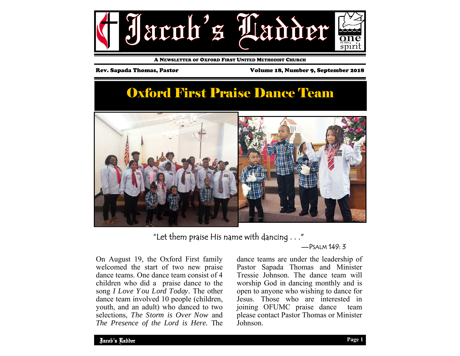

A NEWSLETTER OF OXFORD FIRST UNITED METHODIST CHURCH

Rev. Sapada Thomas, Pastor Volume 18, Number 9, September 2018

# Oxford First Praise Dance Team



"Let them praise His name with dancing  $\dots$ "

—PSALM 149: 3

On August 19, the Oxford First family welcomed the start of two new praise dance teams. One dance team consist of 4 children who did a praise dance to the song *I Love Y ou Lord Today.* The other dance team involved 10 people (children, youth, and an adult) who danced to two selections, *The Storm is Over Now* and *The Presence of the Lord is Here.* The dance teams are under the leadership of Pastor Sapada Thomas and Minister Tressie Johnson. The dance team will worship God in dancing monthly and is open to anyone who wishing to dance for Jesus. Those who are interested in joining OFUMC praise dance team please contact Pastor Thomas or Minister Johnson.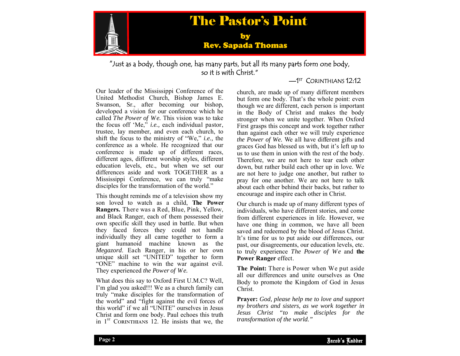

"Just as a body, though one, has many parts, but all its many parts form one body, so it is with Christ."

#### <sup>1ST</sup> CORINTHIANS 12.12

Our leader of the Mississippi Conference of the United Methodist Church, Bishop James E. Swanson, Sr., after becoming our bishop, developed a vision for our conference which he called *The Power of We.* This vision was to take the focus off 'Me," *i.e.,* each individual pastor, trustee, lay member, and even each church, to shift the focus to the ministry of "We," *i.e.,* the conference as a whole. He recognized that our conference is made up of different races, different ages, different worship styles, different education levels, etc., but when we set our differences aside and work TOGETHER as a Mississippi Conference, we can truly "make disciples for the transformation of the world."

This thought reminds me of a television show my son loved to watch as a child, **The Power Rangers.** There was a Red, Blue, Pink, Yellow, and Black Ranger, each of them possessed their own specific skill they used in battle. But when they faced forces they could not handle individually they all came together to form a giant humanoid machine known as the *Megazord*. Each Ranger, in his or her own unique skill set "UNITED" together to form "ONE" machine to win the war against evil. They experienced *the Power of We.* 

What does this say to Oxford First U.M.C? Well, I'm glad you asked!!! We as a church family can truly "make disciples for the transformation of the world" and "fight against the evil forces of this world" if we all "UNITE" ourselves in Jesus Christ and form one body. Paul echoes this truth in  $1<sup>ST</sup>$  CORINTHIANS 12. He insists that we, the

church, are made up of many different members but form one body. That's the whole point: even though we are different, each person is important in the Body of Christ and makes the body stronger when we unite together. When Oxford First grasps this concept and work together rather than against each other we will truly experience *the Power of We.* We all have different gifts and graces God has blessed us with, but it's left up to us to use them in union with the rest of the body. Therefore, we are not here to tear each other down, but rather build each other up in love. We are not here to judge one another, but rather to pray for one another. We are not here to talk about each other behind their backs, but rather to encourage and inspire each other in Christ.

Our church is made up of many different types of individuals, who have different stories, and come from different experiences in life. However, we have one thing in common, we have all been saved and redeemed by the blood of Jesus Christ. It's time for us to put aside our differences, our past, our disagreements, our education levels, etc. to truly experience *The Power of We* and **the Power Ranger** effect.

**The Point:** There is Power when We put aside all our differences and unite ourselves as One Body to promote the Kingdom of God in Jesus Christ.

my brothers and sisters, as we work together in **Prayer:** *God, please help me to love and support Jesus Christ "to make disciples for the transformation of the world."*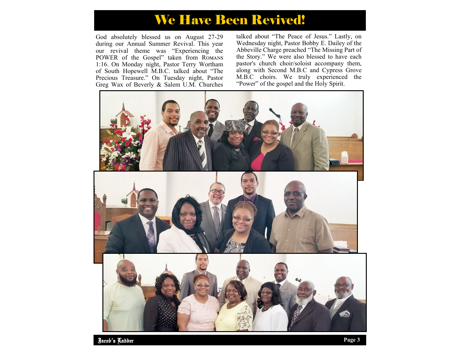## We Have Been Revived!

God absolutely blessed us on August 27-29 during our Annual Summer Revival. This year our revival theme was "Experiencing the POWER of the Gospel" taken from ROMANS 1:16. On Monday night, Pastor Terry Wortham of South Hopewell M.B.C. talked about "The Precious Treasure." On Tuesday night, Pastor Greg Wax of Beverly & Salem U.M. Churches talked about "The Peace of Jesus." Lastly, on Wednesday night, Pastor Bobby E. Dailey of the Abbeville Charge preached "The Missing Part of the Story." We were also blessed to have each pastor's church choir/soloist accompany them, along with Second M.B.C and Cypress Grove M.B.C choirs. We truly experienced the "Power" of the gospel and the Holy Spirit.